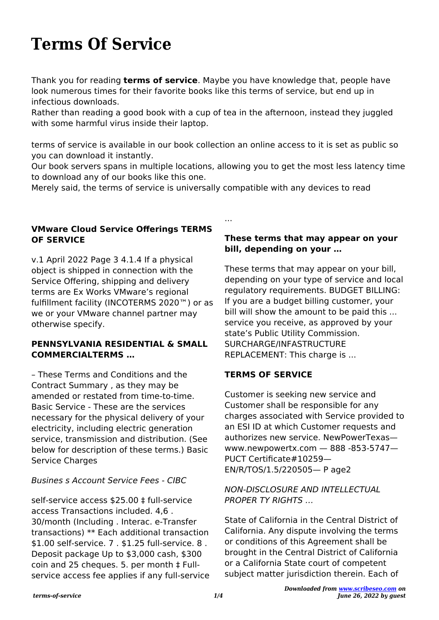# **Terms Of Service**

Thank you for reading **terms of service**. Maybe you have knowledge that, people have look numerous times for their favorite books like this terms of service, but end up in infectious downloads.

Rather than reading a good book with a cup of tea in the afternoon, instead they juggled with some harmful virus inside their laptop.

terms of service is available in our book collection an online access to it is set as public so you can download it instantly.

Our book servers spans in multiple locations, allowing you to get the most less latency time to download any of our books like this one.

...

Merely said, the terms of service is universally compatible with any devices to read

## **VMware Cloud Service Offerings TERMS OF SERVICE**

v.1 April 2022 Page 3 4.1.4 If a physical object is shipped in connection with the Service Offering, shipping and delivery terms are Ex Works VMware's regional fulfillment facility (INCOTERMS 2020™) or as we or your VMware channel partner may otherwise specify.

### **PENNSYLVANIA RESIDENTIAL & SMALL COMMERCIALTERMS …**

– These Terms and Conditions and the Contract Summary , as they may be amended or restated from time-to-time. Basic Service - These are the services necessary for the physical delivery of your electricity, including electric generation service, transmission and distribution. (See below for description of these terms.) Basic Service Charges

## Busines s Account Service Fees - CIBC

self-service access \$25.00 ‡ full-service access Transactions included. 4,6 . 30/month (Including . Interac. e-Transfer transactions) \*\* Each additional transaction \$1.00 self-service. 7 . \$1.25 full-service. 8 . Deposit package Up to \$3,000 cash, \$300 coin and 25 cheques. 5. per month ‡ Fullservice access fee applies if any full-service

#### **These terms that may appear on your bill, depending on your …**

These terms that may appear on your bill, depending on your type of service and local regulatory requirements. BUDGET BILLING: If you are a budget billing customer, your bill will show the amount to be paid this ... service you receive, as approved by your state's Public Utility Commission. SURCHARGE/INFASTRUCTURE REPLACEMENT: This charge is ...

## **TERMS OF SERVICE**

Customer is seeking new service and Customer shall be responsible for any charges associated with Service provided to an ESI ID at which Customer requests and authorizes new service. NewPowerTexas www.newpowertx.com — 888 -853-5747— PUCT Certificate#10259— EN/R/TOS/1.5/220505— P age2

#### NON-DISCLOSURE AND INTELLECTUAL PROPER TY RIGHTS

State of California in the Central District of California. Any dispute involving the terms or conditions of this Agreement shall be brought in the Central District of California or a California State court of competent subject matter jurisdiction therein. Each of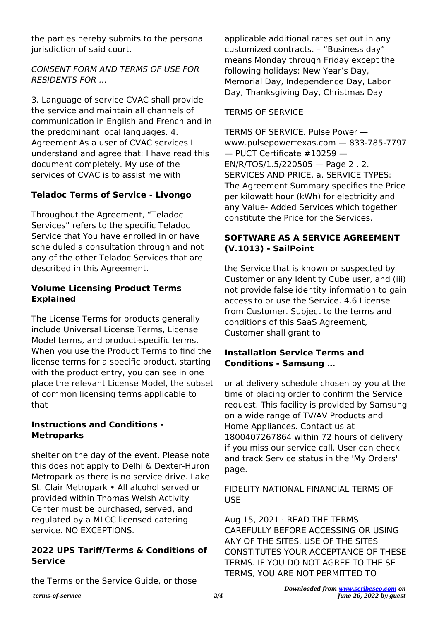the parties hereby submits to the personal jurisdiction of said court.

# CONSENT FORM AND TERMS OF USE FOR RESIDENTS FOR …

3. Language of service CVAC shall provide the service and maintain all channels of communication in English and French and in the predominant local languages. 4. Agreement As a user of CVAC services I understand and agree that: I have read this document completely. My use of the services of CVAC is to assist me with

# **Teladoc Terms of Service - Livongo**

Throughout the Agreement, "Teladoc Services" refers to the specific Teladoc Service that You have enrolled in or have sche duled a consultation through and not any of the other Teladoc Services that are described in this Agreement.

# **Volume Licensing Product Terms Explained**

The License Terms for products generally include Universal License Terms, License Model terms, and product-specific terms. When you use the Product Terms to find the license terms for a specific product, starting with the product entry, you can see in one place the relevant License Model, the subset of common licensing terms applicable to that

# **Instructions and Conditions - Metroparks**

shelter on the day of the event. Please note this does not apply to Delhi & Dexter-Huron Metropark as there is no service drive. Lake St. Clair Metropark • All alcohol served or provided within Thomas Welsh Activity Center must be purchased, served, and regulated by a MLCC licensed catering service. NO EXCEPTIONS.

# **2022 UPS Tariff/Terms & Conditions of Service**

the Terms or the Service Guide, or those

applicable additional rates set out in any customized contracts. – "Business day" means Monday through Friday except the following holidays: New Year's Day, Memorial Day, Independence Day, Labor Day, Thanksgiving Day, Christmas Day

# TERMS OF SERVICE

TERMS OF SERVICE. Pulse Power www.pulsepowertexas.com — 833-785-7797 — PUCT Certificate #10259 — EN/R/TOS/1.5/220505 — Page 2 . 2. SERVICES AND PRICE. a. SERVICE TYPES: The Agreement Summary specifies the Price per kilowatt hour (kWh) for electricity and any Value- Added Services which together constitute the Price for the Services.

# **SOFTWARE AS A SERVICE AGREEMENT (V.1013) - SailPoint**

the Service that is known or suspected by Customer or any Identity Cube user, and (iii) not provide false identity information to gain access to or use the Service. 4.6 License from Customer. Subject to the terms and conditions of this SaaS Agreement, Customer shall grant to

## **Installation Service Terms and Conditions - Samsung …**

or at delivery schedule chosen by you at the time of placing order to confirm the Service request. This facility is provided by Samsung on a wide range of TV/AV Products and Home Appliances. Contact us at 1800407267864 within 72 hours of delivery if you miss our service call. User can check and track Service status in the 'My Orders' page.

### FIDELITY NATIONAL FINANCIAL TERMS OF USE

Aug 15, 2021 · READ THE TERMS CAREFULLY BEFORE ACCESSING OR USING ANY OF THE SITES. USE OF THE SITES CONSTITUTES YOUR ACCEPTANCE OF THESE TERMS. IF YOU DO NOT AGREE TO THE SE TERMS, YOU ARE NOT PERMITTED TO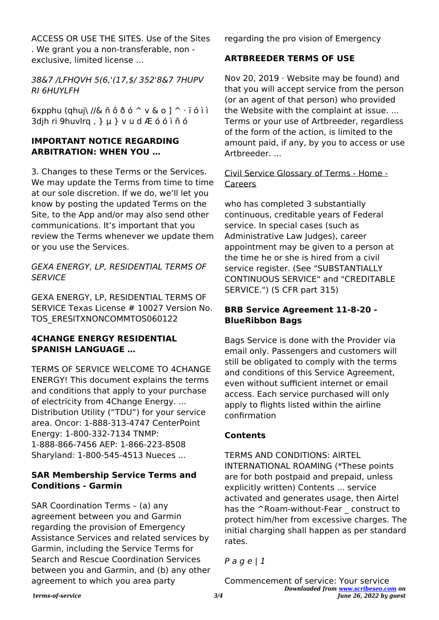ACCESS OR USE THE SITES. Use of the Sites . We grant you a non-transferable, non exclusive, limited license …

38&7 /LFHQVH 5(6,'(17,\$/ 352'8&7 7HUPV RI 6HUYLFH

 $6x$ pphu (qhuj\ //& ñ ô ð ó  $\sim$  v & o ]  $\sim$  i ó ì ì 3djh ri 9huvlrq , } µ } v u d Æ ó ó ì ñ ó

## **IMPORTANT NOTICE REGARDING ARBITRATION: WHEN YOU …**

3. Changes to these Terms or the Services. We may update the Terms from time to time at our sole discretion. If we do, we'll let you know by posting the updated Terms on the Site, to the App and/or may also send other communications. It's important that you review the Terms whenever we update them or you use the Services.

GEXA ENERGY, LP, RESIDENTIAL TERMS OF **SERVICE** 

GEXA ENERGY, LP, RESIDENTIAL TERMS OF SERVICE Texas License # 10027 Version No. TOS\_ERESITXNONCOMMTOS060122

### **4CHANGE ENERGY RESIDENTIAL SPANISH LANGUAGE …**

TERMS OF SERVICE WELCOME TO 4CHANGE ENERGY! This document explains the terms and conditions that apply to your purchase of electricity from 4Change Energy. ... Distribution Utility ("TDU") for your service area. Oncor: 1-888-313-4747 CenterPoint Energy: 1-800-332-7134 TNMP: 1-888-866-7456 AEP: 1-866-223-8508 Sharyland: 1-800-545-4513 Nueces ...

## **SAR Membership Service Terms and Conditions - Garmin**

SAR Coordination Terms – (a) any agreement between you and Garmin regarding the provision of Emergency Assistance Services and related services by Garmin, including the Service Terms for Search and Rescue Coordination Services between you and Garmin, and (b) any other agreement to which you area party

regarding the pro vision of Emergency

# **ARTBREEDER TERMS OF USE**

Nov 20, 2019 · Website may be found) and that you will accept service from the person (or an agent of that person) who provided the Website with the complaint at issue. ... Terms or your use of Artbreeder, regardless of the form of the action, is limited to the amount paid, if any, by you to access or use Artbreeder. ...

## Civil Service Glossary of Terms - Home - Careers

who has completed 3 substantially continuous, creditable years of Federal service. In special cases (such as Administrative Law Judges), career appointment may be given to a person at the time he or she is hired from a civil service register. (See "SUBSTANTIALLY CONTINUOUS SERVICE" and "CREDITABLE SERVICE.") (5 CFR part 315)

# **BRB Service Agreement 11-8-20 - BlueRibbon Bags**

Bags Service is done with the Provider via email only. Passengers and customers will still be obligated to comply with the terms and conditions of this Service Agreement, even without sufficient internet or email access. Each service purchased will only apply to flights listed within the airline confirmation

# **Contents**

TERMS AND CONDITIONS: AIRTEL INTERNATIONAL ROAMING (\*These points are for both postpaid and prepaid, unless explicitly written) Contents ... service activated and generates usage, then Airtel has the ^Roam-without-Fear construct to protect him/her from excessive charges. The initial charging shall happen as per standard rates.

 $P$  a g e | 1

*Downloaded from [www.scribeseo.com](http://www.scribeseo.com) on June 26, 2022 by guest* Commencement of service: Your service